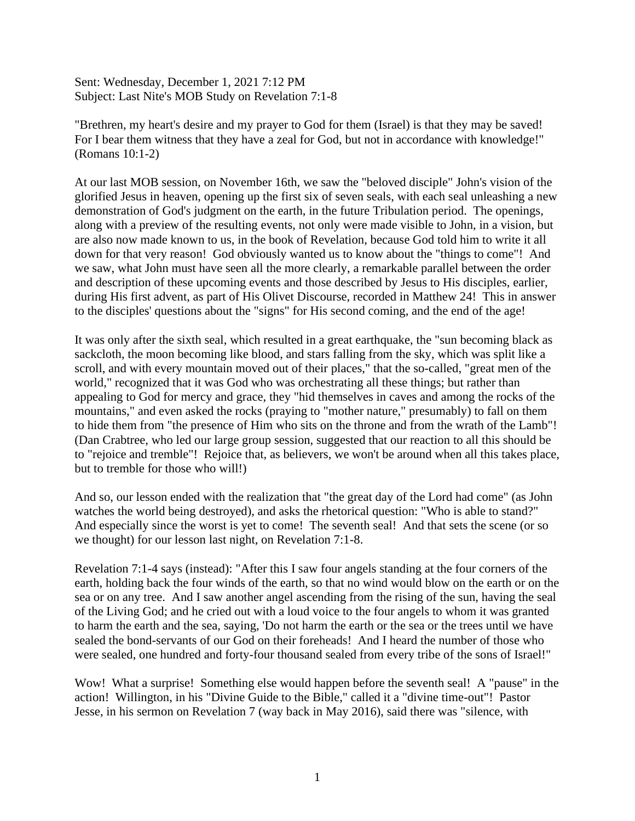Sent: Wednesday, December 1, 2021 7:12 PM Subject: Last Nite's MOB Study on Revelation 7:1-8

"Brethren, my heart's desire and my prayer to God for them (Israel) is that they may be saved! For I bear them witness that they have a zeal for God, but not in accordance with knowledge!" (Romans 10:1-2)

At our last MOB session, on November 16th, we saw the "beloved disciple" John's vision of the glorified Jesus in heaven, opening up the first six of seven seals, with each seal unleashing a new demonstration of God's judgment on the earth, in the future Tribulation period. The openings, along with a preview of the resulting events, not only were made visible to John, in a vision, but are also now made known to us, in the book of Revelation, because God told him to write it all down for that very reason! God obviously wanted us to know about the "things to come"! And we saw, what John must have seen all the more clearly, a remarkable parallel between the order and description of these upcoming events and those described by Jesus to His disciples, earlier, during His first advent, as part of His Olivet Discourse, recorded in Matthew 24! This in answer to the disciples' questions about the "signs" for His second coming, and the end of the age!

It was only after the sixth seal, which resulted in a great earthquake, the "sun becoming black as sackcloth, the moon becoming like blood, and stars falling from the sky, which was split like a scroll, and with every mountain moved out of their places," that the so-called, "great men of the world," recognized that it was God who was orchestrating all these things; but rather than appealing to God for mercy and grace, they "hid themselves in caves and among the rocks of the mountains," and even asked the rocks (praying to "mother nature," presumably) to fall on them to hide them from "the presence of Him who sits on the throne and from the wrath of the Lamb"! (Dan Crabtree, who led our large group session, suggested that our reaction to all this should be to "rejoice and tremble"! Rejoice that, as believers, we won't be around when all this takes place, but to tremble for those who will!)

And so, our lesson ended with the realization that "the great day of the Lord had come" (as John watches the world being destroyed), and asks the rhetorical question: "Who is able to stand?" And especially since the worst is yet to come! The seventh seal! And that sets the scene (or so we thought) for our lesson last night, on Revelation 7:1-8.

Revelation 7:1-4 says (instead): "After this I saw four angels standing at the four corners of the earth, holding back the four winds of the earth, so that no wind would blow on the earth or on the sea or on any tree. And I saw another angel ascending from the rising of the sun, having the seal of the Living God; and he cried out with a loud voice to the four angels to whom it was granted to harm the earth and the sea, saying, 'Do not harm the earth or the sea or the trees until we have sealed the bond-servants of our God on their foreheads! And I heard the number of those who were sealed, one hundred and forty-four thousand sealed from every tribe of the sons of Israel!"

Wow! What a surprise! Something else would happen before the seventh seal! A "pause" in the action! Willington, in his "Divine Guide to the Bible," called it a "divine time-out"! Pastor Jesse, in his sermon on Revelation 7 (way back in May 2016), said there was "silence, with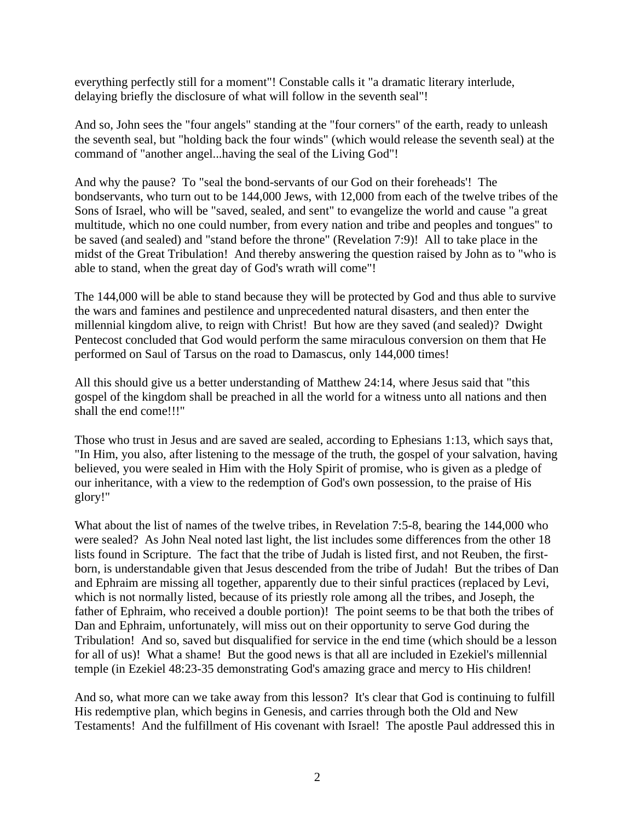everything perfectly still for a moment"! Constable calls it "a dramatic literary interlude, delaying briefly the disclosure of what will follow in the seventh seal"!

And so, John sees the "four angels" standing at the "four corners" of the earth, ready to unleash the seventh seal, but "holding back the four winds" (which would release the seventh seal) at the command of "another angel...having the seal of the Living God"!

And why the pause? To "seal the bond-servants of our God on their foreheads'! The bondservants, who turn out to be 144,000 Jews, with 12,000 from each of the twelve tribes of the Sons of Israel, who will be "saved, sealed, and sent" to evangelize the world and cause "a great multitude, which no one could number, from every nation and tribe and peoples and tongues" to be saved (and sealed) and "stand before the throne" (Revelation 7:9)! All to take place in the midst of the Great Tribulation! And thereby answering the question raised by John as to "who is able to stand, when the great day of God's wrath will come"!

The 144,000 will be able to stand because they will be protected by God and thus able to survive the wars and famines and pestilence and unprecedented natural disasters, and then enter the millennial kingdom alive, to reign with Christ! But how are they saved (and sealed)? Dwight Pentecost concluded that God would perform the same miraculous conversion on them that He performed on Saul of Tarsus on the road to Damascus, only 144,000 times!

All this should give us a better understanding of Matthew 24:14, where Jesus said that "this gospel of the kingdom shall be preached in all the world for a witness unto all nations and then shall the end come!!!"

Those who trust in Jesus and are saved are sealed, according to Ephesians 1:13, which says that, "In Him, you also, after listening to the message of the truth, the gospel of your salvation, having believed, you were sealed in Him with the Holy Spirit of promise, who is given as a pledge of our inheritance, with a view to the redemption of God's own possession, to the praise of His glory!"

What about the list of names of the twelve tribes, in Revelation 7:5-8, bearing the 144,000 who were sealed? As John Neal noted last light, the list includes some differences from the other 18 lists found in Scripture. The fact that the tribe of Judah is listed first, and not Reuben, the firstborn, is understandable given that Jesus descended from the tribe of Judah! But the tribes of Dan and Ephraim are missing all together, apparently due to their sinful practices (replaced by Levi, which is not normally listed, because of its priestly role among all the tribes, and Joseph, the father of Ephraim, who received a double portion)! The point seems to be that both the tribes of Dan and Ephraim, unfortunately, will miss out on their opportunity to serve God during the Tribulation! And so, saved but disqualified for service in the end time (which should be a lesson for all of us)! What a shame! But the good news is that all are included in Ezekiel's millennial temple (in Ezekiel 48:23-35 demonstrating God's amazing grace and mercy to His children!

And so, what more can we take away from this lesson? It's clear that God is continuing to fulfill His redemptive plan, which begins in Genesis, and carries through both the Old and New Testaments! And the fulfillment of His covenant with Israel! The apostle Paul addressed this in